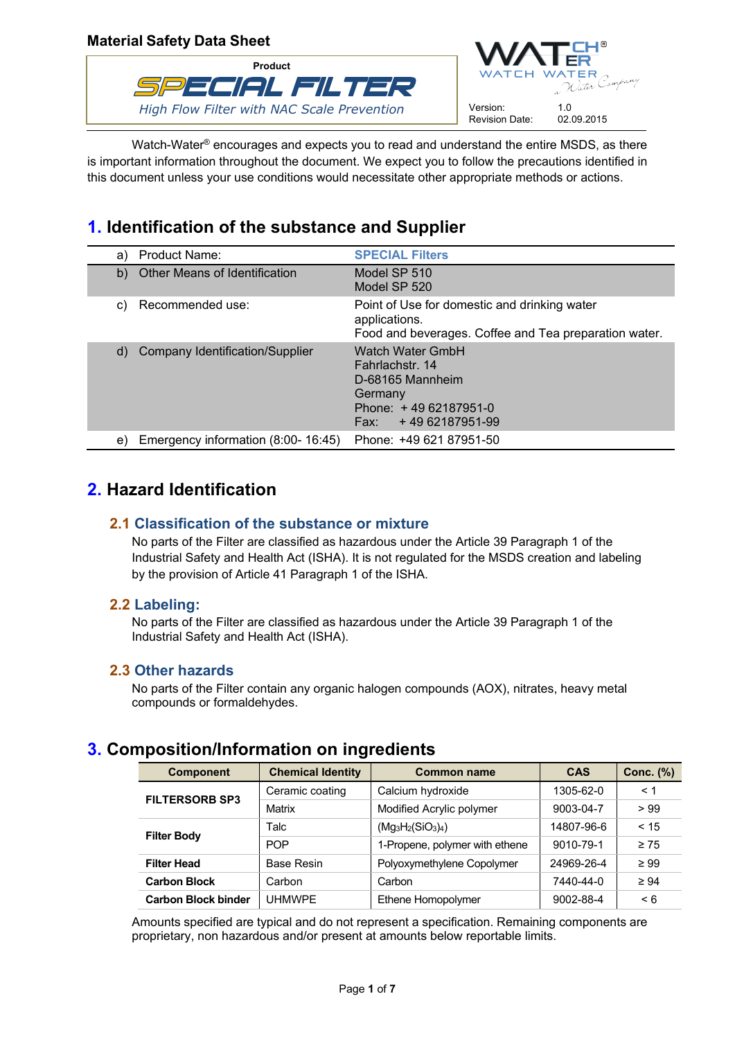

Watch-Water<sup>®</sup> encourages and expects you to read and understand the entire MSDS, as there is important information throughout the document. We expect you to follow the precautions identified in this document unless your use conditions would necessitate other appropriate methods or actions.

# **1. Identification of the substance and Supplier**

| Product Name:<br>a)                          | <b>SPECIAL Filters</b>                                                                                                          |
|----------------------------------------------|---------------------------------------------------------------------------------------------------------------------------------|
| <b>Other Means of Identification</b><br>b)   | Model SP 510<br>Model SP 520                                                                                                    |
| Recommended use:<br>C)                       | Point of Use for domestic and drinking water<br>applications.<br>Food and beverages. Coffee and Tea preparation water.          |
| <b>Company Identification/Supplier</b><br>d) | <b>Watch Water GmbH</b><br>Fahrlachstr, 14<br>D-68165 Mannheim<br>Germany<br>Phone: $+4962187951-0$<br>+4962187951-99<br>Fax: F |
| Emergency information (8:00- 16:45)<br>e)    | Phone: +49 621 87951-50                                                                                                         |

# **2. Hazard Identification**

## **2.1 Classification of the substance or mixture**

No parts of the Filter are classified as hazardous under the Article 39 Paragraph 1 of the Industrial Safety and Health Act (ISHA). It is not regulated for the MSDS creation and labeling by the provision of Article 41 Paragraph 1 of the ISHA.

## **2.2 Labeling:**

No parts of the Filter are classified as hazardous under the Article 39 Paragraph 1 of the Industrial Safety and Health Act (ISHA).

## **2.3 Other hazards**

No parts of the Filter contain any organic halogen compounds (AOX), nitrates, heavy metal compounds or formaldehydes.

# **3. Composition/Information on ingredients**

| <b>Component</b>           | <b>Chemical Identity</b> | <b>Common name</b>             | <b>CAS</b> | Conc. $(\%)$ |
|----------------------------|--------------------------|--------------------------------|------------|--------------|
| <b>FILTERSORB SP3</b>      | Ceramic coating          | Calcium hydroxide              | 1305-62-0  | < 1          |
|                            | Matrix                   | Modified Acrylic polymer       | 9003-04-7  | > 99         |
| <b>Filter Body</b>         | Talc                     | $(Mg_3H_2(SiO_3)_4)$           | 14807-96-6 | < 15         |
|                            | <b>POP</b>               | 1-Propene, polymer with ethene | 9010-79-1  | $\geq 75$    |
| <b>Filter Head</b>         | <b>Base Resin</b>        | Polyoxymethylene Copolymer     | 24969-26-4 | $\geq 99$    |
| <b>Carbon Block</b>        | Carbon                   | Carbon                         | 7440-44-0  | $\geq 94$    |
| <b>Carbon Block binder</b> | <b>UHMWPE</b>            | Ethene Homopolymer             | 9002-88-4  | $\leq 6$     |

Amounts specified are typical and do not represent a specification. Remaining components are proprietary, non hazardous and/or present at amounts below reportable limits.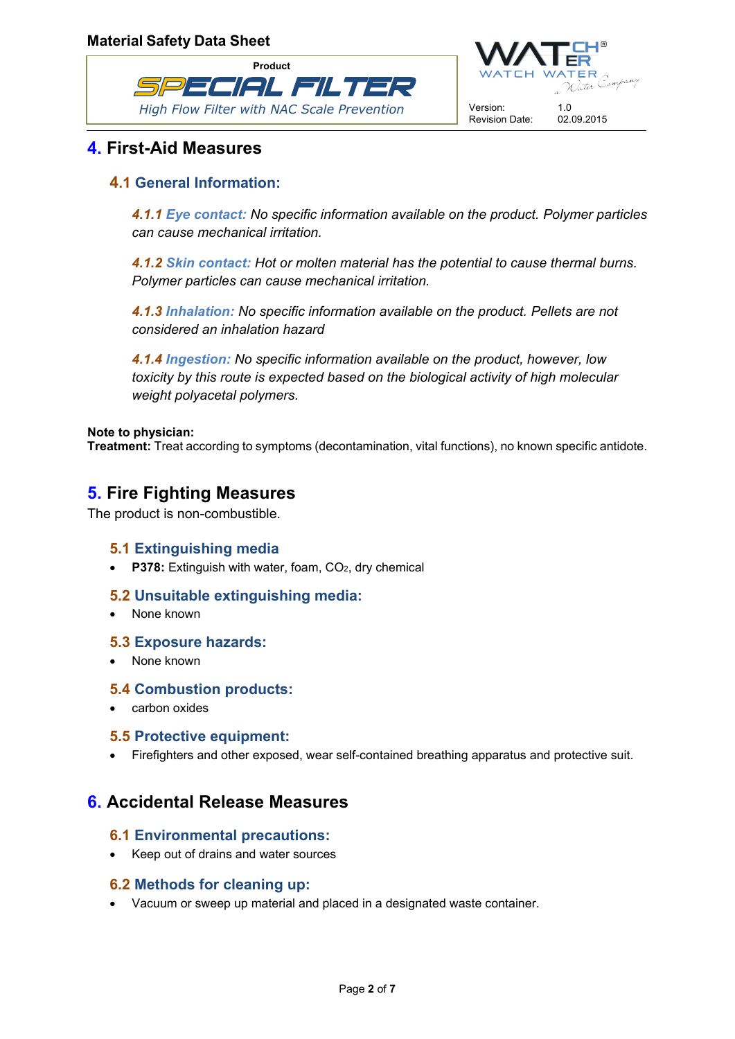



# **4. First-Aid Measures**

## **4.1 General Information:**

*4.1.1 Eye contact: No specific information available on the product. Polymer particles can cause mechanical irritation.*

*4.1.2 Skin contact: Hot or molten material has the potential to cause thermal burns. Polymer particles can cause mechanical irritation.*

*4.1.3 Inhalation: No specific information available on the product. Pellets are not considered an inhalation hazard*

*4.1.4 Ingestion: No specific information available on the product, however, low toxicity by this route is expected based on the biological activity of high molecular weight polyacetal polymers.*

### **Note to physician:**

**Treatment:** Treat according to symptoms (decontamination, vital functions), no known specific antidote.

# **5. Fire Fighting Measures**

The product is non-combustible.

## **5.1 Extinguishing media**

**•** P378: Extinguish with water, foam, CO<sub>2</sub>, dry chemical

## **5.2 Unsuitable extinguishing media:**

None known

## **5.3 Exposure hazards:**

• None known

## **5.4 Combustion products:**

• carbon oxides

#### **5.5 Protective equipment:**

Firefighters and other exposed, wear self-contained breathing apparatus and protective suit.

## **6. Accidental Release Measures**

## **6.1 Environmental precautions:**

• Keep out of drains and water sources

## **6.2 Methods for cleaning up:**

Vacuum or sweep up material and placed in a designated waste container.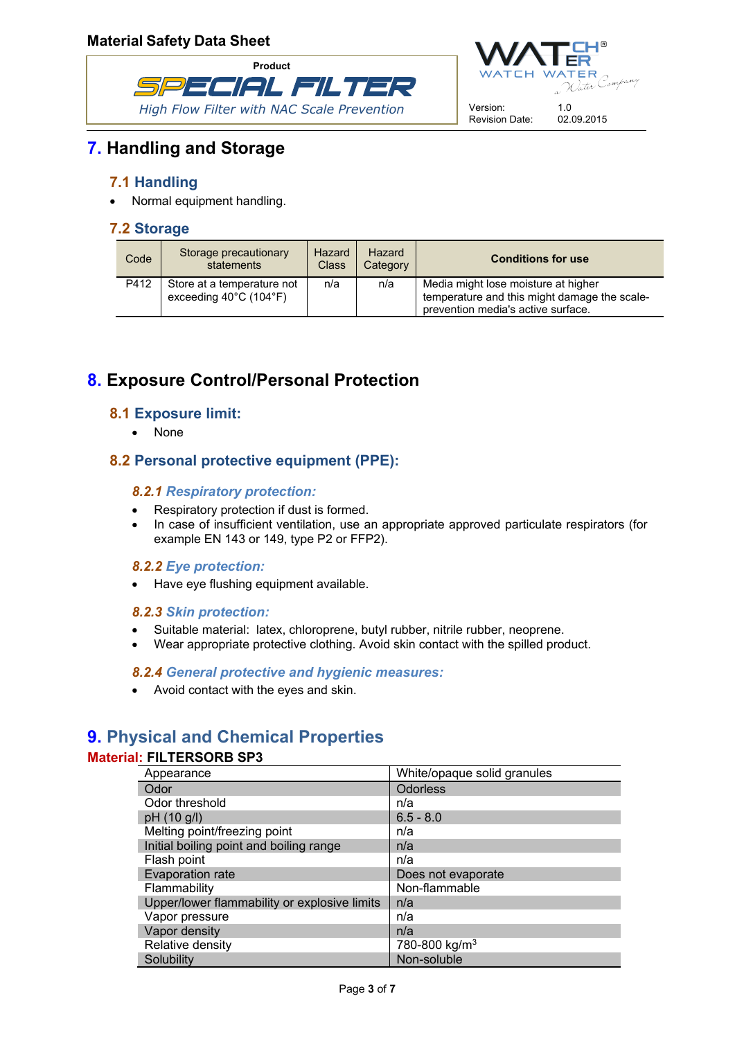



# **7. Handling and Storage**

## **7.1 Handling**

• Normal equipment handling.

## **7.2 Storage**

| Code | Storage precautionary<br>statements                                       | Hazard<br><b>Class</b> | Hazard<br>Category | <b>Conditions for use</b>                                                                                                 |
|------|---------------------------------------------------------------------------|------------------------|--------------------|---------------------------------------------------------------------------------------------------------------------------|
| P412 | Store at a temperature not<br>exceeding $40^{\circ}$ C (104 $^{\circ}$ F) | n/a                    | n/a                | Media might lose moisture at higher<br>temperature and this might damage the scale-<br>prevention media's active surface. |

# **8. Exposure Control/Personal Protection**

## **8.1 Exposure limit:**

• None

## **8.2 Personal protective equipment (PPE):**

### *8.2.1 Respiratory protection:*

- Respiratory protection if dust is formed.
- In case of insufficient ventilation, use an appropriate approved particulate respirators (for example EN 143 or 149, type P2 or FFP2).

#### *8.2.2 Eye protection:*

• Have eye flushing equipment available.

#### *8.2.3 Skin protection:*

- Suitable material: latex, chloroprene, butyl rubber, nitrile rubber, neoprene.
- Wear appropriate protective clothing. Avoid skin contact with the spilled product.

#### *8.2.4 General protective and hygienic measures:*

Avoid contact with the eyes and skin.

# **9. Physical and Chemical Properties**

#### **Material: FILTERSORB SP3**

| Appearance                                   | White/opaque solid granules |
|----------------------------------------------|-----------------------------|
| Odor                                         | <b>Odorless</b>             |
| Odor threshold                               | n/a                         |
| pH (10 g/l)                                  | $6.5 - 8.0$                 |
| Melting point/freezing point                 | n/a                         |
| Initial boiling point and boiling range      | n/a                         |
| Flash point                                  | n/a                         |
| Evaporation rate                             | Does not evaporate          |
| Flammability                                 | Non-flammable               |
| Upper/lower flammability or explosive limits | n/a                         |
| Vapor pressure                               | n/a                         |
| Vapor density                                | n/a                         |
| Relative density                             | 780-800 kg/m <sup>3</sup>   |
| Solubility                                   | Non-soluble                 |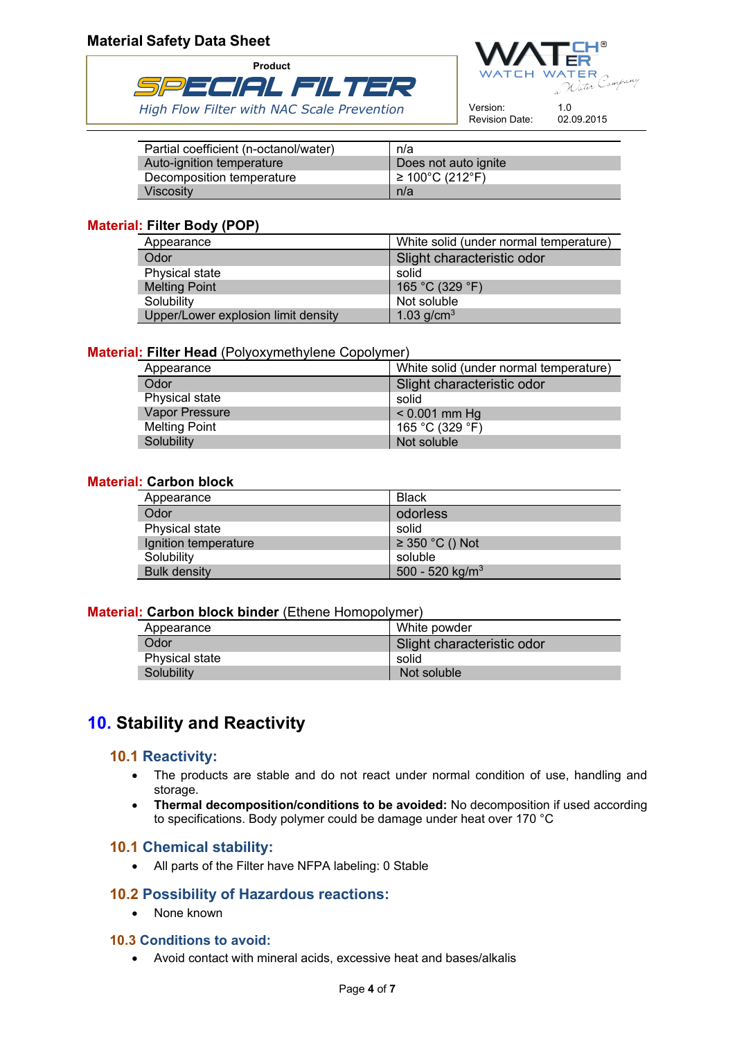



Version: 1.0<br>Revision Date: 02.09.2015 Revision Date:

| Partial coefficient (n-octanol/water) | n/a                                     |
|---------------------------------------|-----------------------------------------|
| Auto-ignition temperature             | Does not auto ignite                    |
| Decomposition temperature             | $\geq 100^{\circ}$ C (212 $^{\circ}$ F) |
| Viscosity                             | n/a                                     |

### **Material: Filter Body (POP)**

| Appearance                          | White solid (under normal temperature) |
|-------------------------------------|----------------------------------------|
| Odor                                | Slight characteristic odor             |
| Physical state                      | solid                                  |
| <b>Melting Point</b>                | 165 °C (329 °F)                        |
| Solubility                          | Not soluble                            |
| Upper/Lower explosion limit density | 1.03 $g/cm^{3}$                        |

### **Material: Filter Head** (Polyoxymethylene Copolymer)

| Appearance           | White solid (under normal temperature) |
|----------------------|----------------------------------------|
| Odor                 | Slight characteristic odor             |
| Physical state       | solid                                  |
| Vapor Pressure       | $< 0.001$ mm Hg                        |
| <b>Melting Point</b> | 165 °C (329 °F)                        |
| Solubility           | Not soluble                            |

### **Material: Carbon block**

| Appearance           | <b>Black</b>                |
|----------------------|-----------------------------|
| Odor                 | odorless                    |
| Physical state       | solid                       |
| Ignition temperature | $\geq$ 350 °C () Not        |
| Solubility           | soluble                     |
| <b>Bulk density</b>  | 500 - 520 kg/m <sup>3</sup> |

#### **Material: Carbon block binder** (Ethene Homopolymer)

| Appearance     | White powder               |
|----------------|----------------------------|
| Odor           | Slight characteristic odor |
| Physical state | solid                      |
| Solubility     | Not soluble                |

# **10. Stability and Reactivity**

## **10.1 Reactivity:**

- The products are stable and do not react under normal condition of use, handling and storage.
- **Thermal decomposition/conditions to be avoided:** No decomposition if used according to specifications. Body polymer could be damage under heat over 170 °C

## **10.1 Chemical stability:**

All parts of the Filter have NFPA labeling: 0 Stable

## **10.2 Possibility of Hazardous reactions:**

• None known

#### **10.3 Conditions to avoid:**

Avoid contact with mineral acids, excessive heat and bases/alkalis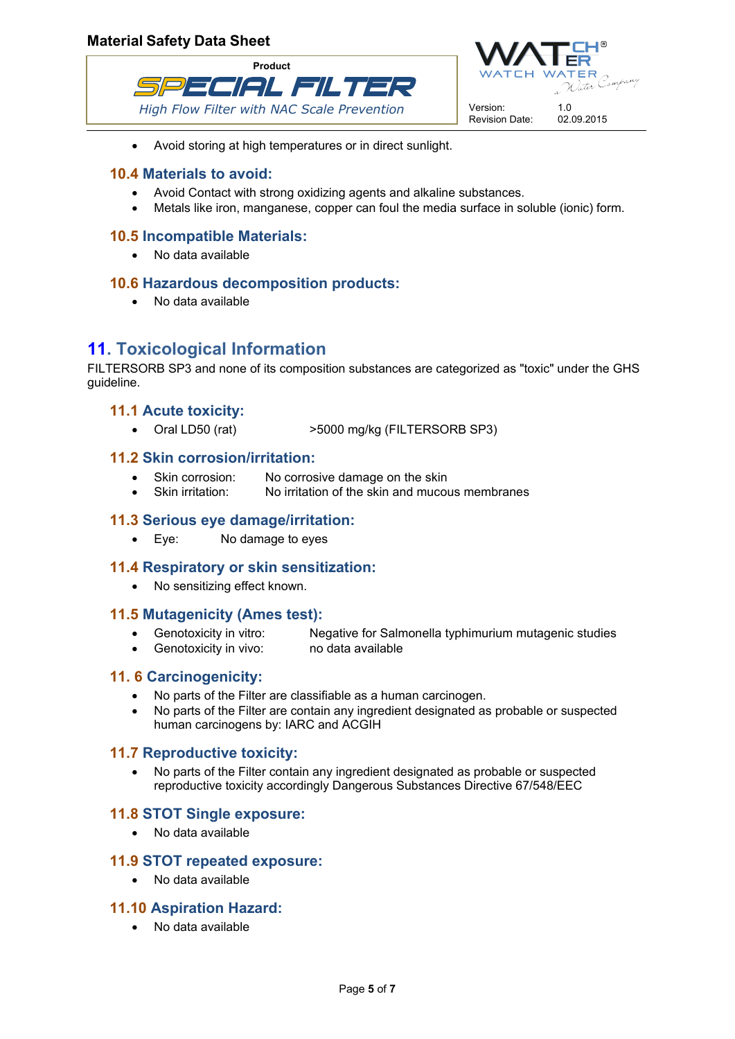



Avoid storing at high temperatures or in direct sunlight.

### **10.4 Materials to avoid:**

- Avoid Contact with strong oxidizing agents and alkaline substances.
- Metals like iron, manganese, copper can foul the media surface in soluble (ionic) form.

### **10.5 Incompatible Materials:**

No data available

#### **10.6 Hazardous decomposition products:**

No data available

# **11. Toxicological Information**

FILTERSORB SP3 and none of its composition substances are categorized as "toxic" under the GHS guideline.

## **11.1 Acute toxicity:**

Oral LD50 (rat) >5000 mg/kg (FILTERSORB SP3)

### **11.2 Skin corrosion/irritation:**

- Skin corrosion: No corrosive damage on the skin
- Skin irritation: No irritation of the skin and mucous membranes

#### **11.3 Serious eye damage/irritation:**

Eye: No damage to eyes

#### **11.4 Respiratory or skin sensitization:**

• No sensitizing effect known.

#### **11.5 Mutagenicity (Ames test):**

- Genotoxicity in vitro: Negative for Salmonella typhimurium mutagenic studies
- Genotoxicity in vivo: no data available

#### **11. 6 Carcinogenicity:**

- No parts of the Filter are classifiable as a human carcinogen.
- No parts of the Filter are contain any ingredient designated as probable or suspected human carcinogens by: IARC and ACGIH

#### **11.7 Reproductive toxicity:**

 No parts of the Filter contain any ingredient designated as probable or suspected reproductive toxicity accordingly Dangerous Substances Directive 67/548/EEC

#### **11.8 STOT Single exposure:**

No data available

#### **11.9 STOT repeated exposure:**

• No data available

#### **11.10 Aspiration Hazard:**

No data available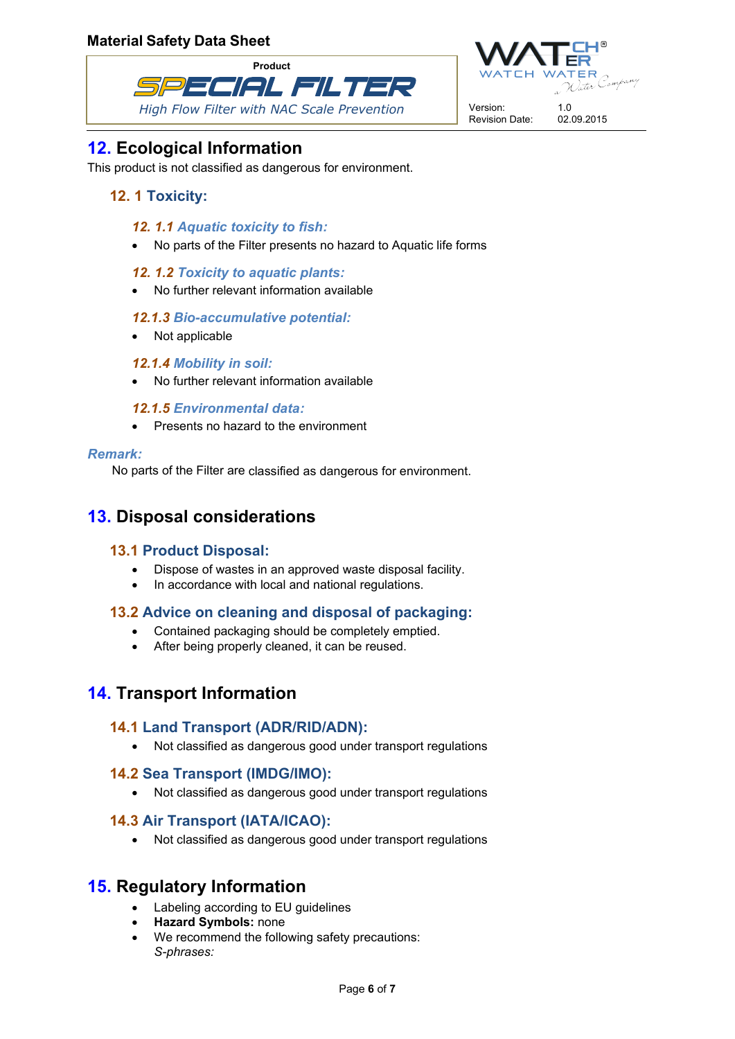



# **12. Ecological Information**

This product is not classified as dangerous for environment.

## **12. 1 Toxicity:**

### *12. 1.1 Aquatic toxicity to fish:*

- No parts of the Filter presents no hazard to Aquatic life forms
- *12. 1.2 Toxicity to aquatic plants:*
- No further relevant information available

### *12.1.3 Bio-accumulative potential:*

• Not applicable

### *12.1.4 Mobility in soil:*

No further relevant information available

### *12.1.5 Environmental data:*

• Presents no hazard to the environment

#### *Remark:*

No parts of the Filter are classified as dangerous for environment.

# **13. Disposal considerations**

## **13.1 Product Disposal:**

- Dispose of wastes in an approved waste disposal facility.
- In accordance with local and national regulations.

## **13.2 Advice on cleaning and disposal of packaging:**

- Contained packaging should be completely emptied.
- After being properly cleaned, it can be reused.

# **14. Transport Information**

## **14.1 Land Transport (ADR/RID/ADN):**

Not classified as dangerous good under transport regulations

## **14.2 Sea Transport (IMDG/IMO):**

Not classified as dangerous good under transport regulations

## **14.3 Air Transport (IATA/ICAO):**

Not classified as dangerous good under transport regulations

## **15. Regulatory Information**

- Labeling according to EU guidelines
- **Hazard Symbols:** none
- We recommend the following safety precautions: *S-phrases:*